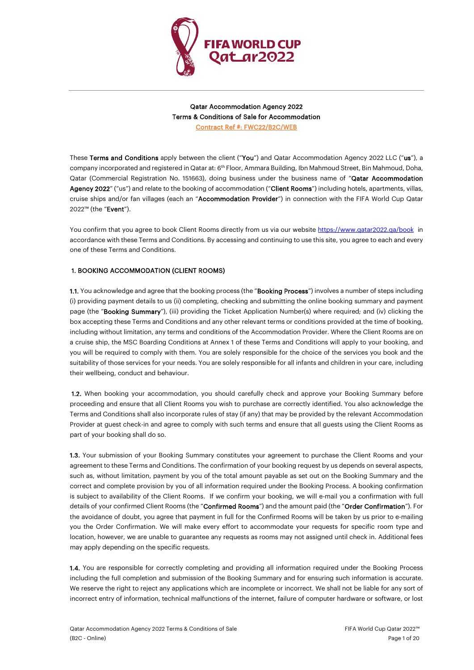

Qatar Accommodation Agency 2022 Terms & Conditions of Sale for Accommodation Contract Ref #: FWC22/B2C/WEB

These Terms and Conditions apply between the client ("You") and Qatar Accommodation Agency 2022 LLC ("us"), a company incorporated and registered in Qatar at: 6th Floor, Ammara Building, Ibn Mahmoud Street, Bin Mahmoud, Doha, Qatar (Commercial Registration No. 151663), doing business under the business name of "Qatar Accommodation Agency 2022" ("us") and relate to the booking of accommodation ("Client Rooms") including hotels, apartments, villas, cruise ships and/or fan villages (each an "Accommodation Provider") in connection with the FIFA World Cup Qatar 2022™ (the "Event").

You confirm that you agree to book Client Rooms directly from us via our websit[e https://www.qatar2022.qa/book](https://www.qatar2022.qa/book) in accordance with these Terms and Conditions. By accessing and continuing to use this site, you agree to each and every one of these Terms and Conditions.

# 1. BOOKING ACCOMMODATION (CLIENT ROOMS)

1.1. You acknowledge and agree that the booking process (the "Booking Process") involves a number of steps including (i) providing payment details to us (ii) completing, checking and submitting the online booking summary and payment page (the "Booking Summary"), (iii) providing the Ticket Application Number(s) where required; and (iv) clicking the box accepting these Terms and Conditions and any other relevant terms or conditions provided at the time of booking, including without limitation, any terms and conditions of the Accommodation Provider. Where the Client Rooms are on a cruise ship, the MSC Boarding Conditions at Annex 1 of these Terms and Conditions will apply to your booking, and you will be required to comply with them. You are solely responsible for the choice of the services you book and the suitability of those services for your needs. You are solely responsible for all infants and children in your care, including their wellbeing, conduct and behaviour.

1.2. When booking your accommodation, you should carefully check and approve your Booking Summary before proceeding and ensure that all Client Rooms you wish to purchase are correctly identified. You also acknowledge the Terms and Conditions shall also incorporate rules of stay (if any) that may be provided by the relevant Accommodation Provider at guest check-in and agree to comply with such terms and ensure that all guests using the Client Rooms as part of your booking shall do so.

1.3. Your submission of your Booking Summary constitutes your agreement to purchase the Client Rooms and your agreement to these Terms and Conditions. The confirmation of your booking request by us depends on several aspects, such as, without limitation, payment by you of the total amount payable as set out on the Booking Summary and the correct and complete provision by you of all information required under the Booking Process. A booking confirmation is subject to availability of the Client Rooms. If we confirm your booking, we will e-mail you a confirmation with full details of your confirmed Client Rooms (the "Confirmed Rooms") and the amount paid (the "Order Confirmation"). For the avoidance of doubt, you agree that payment in full for the Confirmed Rooms will be taken by us prior to e-mailing you the Order Confirmation. We will make every effort to accommodate your requests for specific room type and location, however, we are unable to guarantee any requests as rooms may not assigned until check in. Additional fees may apply depending on the specific requests.

1.4. You are responsible for correctly completing and providing all information required under the Booking Process including the full completion and submission of the Booking Summary and for ensuring such information is accurate. We reserve the right to reject any applications which are incomplete or incorrect. We shall not be liable for any sort of incorrect entry of information, technical malfunctions of the internet, failure of computer hardware or software, or lost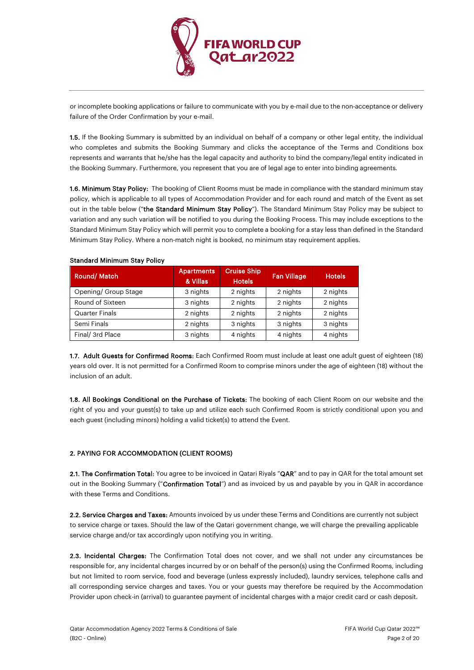

or incomplete booking applications or failure to communicate with you by e-mail due to the non-acceptance or delivery failure of the Order Confirmation by your e-mail.

1.5. If the Booking Summary is submitted by an individual on behalf of a company or other legal entity, the individual who completes and submits the Booking Summary and clicks the acceptance of the Terms and Conditions box represents and warrants that he/she has the legal capacity and authority to bind the company/legal entity indicated in the Booking Summary. Furthermore, you represent that you are of legal age to enter into binding agreements.

1.6. Minimum Stay Policy: The booking of Client Rooms must be made in compliance with the standard minimum stay policy, which is applicable to all types of Accommodation Provider and for each round and match of the Event as set out in the table below ("the Standard Minimum Stay Policy"). The Standard Minimum Stay Policy may be subject to variation and any such variation will be notified to you during the Booking Process. This may include exceptions to the Standard Minimum Stay Policy which will permit you to complete a booking for a stay less than defined in the Standard Minimum Stay Policy. Where a non-match night is booked, no minimum stay requirement applies.

| Round/Match           | <b>Apartments</b><br>& Villas | <b>Cruise Ship</b><br><b>Hotels</b> | <b>Fan Village</b> | <b>Hotels</b> |
|-----------------------|-------------------------------|-------------------------------------|--------------------|---------------|
| Opening/ Group Stage  | 3 nights                      | 2 nights                            | 2 nights           | 2 nights      |
| Round of Sixteen      | 3 nights                      | 2 nights                            | 2 nights           | 2 nights      |
| <b>Quarter Finals</b> | 2 nights                      | 2 nights                            | 2 nights           | 2 nights      |
| Semi Finals           | 2 nights                      | 3 nights                            | 3 nights           | 3 nights      |
| Final/ 3rd Place      | 3 nights                      | 4 nights                            | 4 nights           | 4 nights      |

## Standard Minimum Stay Policy

1.7. Adult Guests for Confirmed Rooms: Each Confirmed Room must include at least one adult guest of eighteen (18) years old over. It is not permitted for a Confirmed Room to comprise minors under the age of eighteen (18) without the inclusion of an adult.

1.8. All Bookings Conditional on the Purchase of Tickets: The booking of each Client Room on our website and the right of you and your guest(s) to take up and utilize each such Confirmed Room is strictly conditional upon you and each guest (including minors) holding a valid ticket(s) to attend the Event.

# 2. PAYING FOR ACCOMMODATION (CLIENT ROOMS)

2.1. The Confirmation Total: You agree to be invoiced in Qatari Riyals "QAR" and to pay in QAR for the total amount set out in the Booking Summary ("Confirmation Total") and as invoiced by us and payable by you in QAR in accordance with these Terms and Conditions.

2.2. Service Charges and Taxes: Amounts invoiced by us under these Terms and Conditions are currently not subject to service charge or taxes. Should the law of the Qatari government change, we will charge the prevailing applicable service charge and/or tax accordingly upon notifying you in writing.

2.3. Incidental Charges: The Confirmation Total does not cover, and we shall not under any circumstances be responsible for, any incidental charges incurred by or on behalf of the person(s) using the Confirmed Rooms, including but not limited to room service, food and beverage (unless expressly included), laundry services, telephone calls and all corresponding service charges and taxes. You or your guests may therefore be required by the Accommodation Provider upon check-in (arrival) to guarantee payment of incidental charges with a major credit card or cash deposit.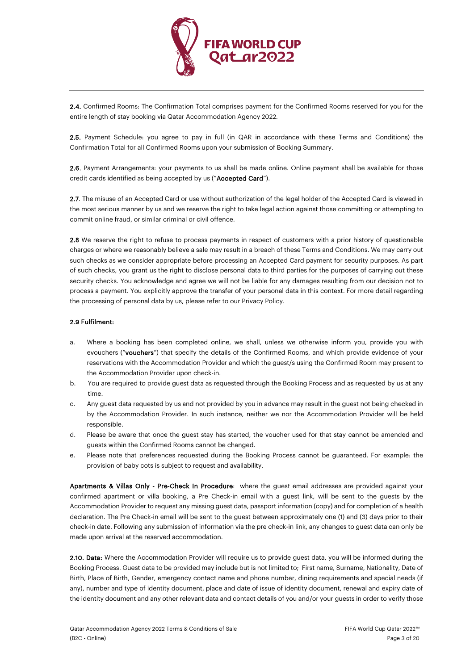

2.4. Confirmed Rooms: The Confirmation Total comprises payment for the Confirmed Rooms reserved for you for the entire length of stay booking via Qatar Accommodation Agency 2022.

2.5. Payment Schedule: you agree to pay in full (in QAR in accordance with these Terms and Conditions) the Confirmation Total for all Confirmed Rooms upon your submission of Booking Summary.

2.6. Payment Arrangements: your payments to us shall be made online. Online payment shall be available for those credit cards identified as being accepted by us ("Accepted Card").

2.7. The misuse of an Accepted Card or use without authorization of the legal holder of the Accepted Card is viewed in the most serious manner by us and we reserve the right to take legal action against those committing or attempting to commit online fraud, or similar criminal or civil offence.

2.8 We reserve the right to refuse to process payments in respect of customers with a prior history of questionable charges or where we reasonably believe a sale may result in a breach of these Terms and Conditions. We may carry out such checks as we consider appropriate before processing an Accepted Card payment for security purposes. As part of such checks, you grant us the right to disclose personal data to third parties for the purposes of carrying out these security checks. You acknowledge and agree we will not be liable for any damages resulting from our decision not to process a payment. You explicitly approve the transfer of your personal data in this context. For more detail regarding the processing of personal data by us, please refer to our Privacy Policy.

# 2.9 Fulfilment:

- a. Where a booking has been completed online, we shall, unless we otherwise inform you, provide you with evouchers ("vouchers") that specify the details of the Confirmed Rooms, and which provide evidence of your reservations with the Accommodation Provider and which the guest/s using the Confirmed Room may present to the Accommodation Provider upon check-in.
- b. You are required to provide guest data as requested through the Booking Process and as requested by us at any time.
- c. Any guest data requested by us and not provided by you in advance may result in the guest not being checked in by the Accommodation Provider. In such instance, neither we nor the Accommodation Provider will be held responsible.
- d. Please be aware that once the guest stay has started, the voucher used for that stay cannot be amended and guests within the Confirmed Rooms cannot be changed.
- e. Please note that preferences requested during the Booking Process cannot be guaranteed. For example: the provision of baby cots is subject to request and availability.

Apartments & Villas Only - Pre-Check In Procedure: where the guest email addresses are provided against your confirmed apartment or villa booking, a Pre Check-in email with a guest link, will be sent to the guests by the Accommodation Provider to request any missing guest data, passport information (copy) and for completion of a health declaration. The Pre Check-in email will be sent to the guest between approximately one (1) and (3) days prior to their check-in date. Following any submission of information via the pre check-in link, any changes to guest data can only be made upon arrival at the reserved accommodation.

2.10. Data: Where the Accommodation Provider will require us to provide guest data, you will be informed during the Booking Process. Guest data to be provided may include but is not limited to; First name, Surname, Nationality, Date of Birth, Place of Birth, Gender, emergency contact name and phone number, dining requirements and special needs (if any), number and type of identity document, place and date of issue of identity document, renewal and expiry date of the identity document and any other relevant data and contact details of you and/or your guests in order to verify those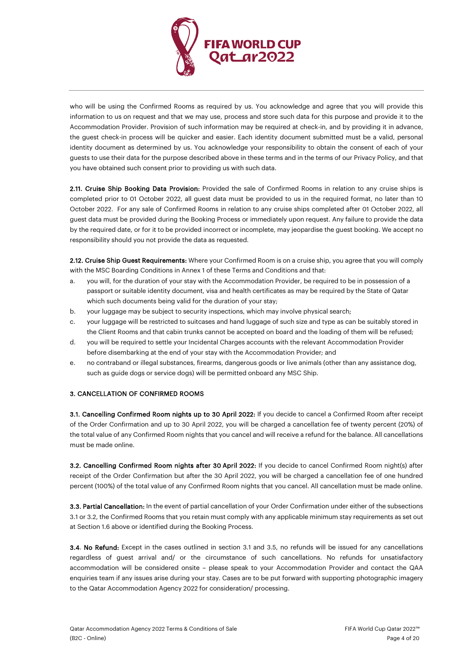

who will be using the Confirmed Rooms as required by us. You acknowledge and agree that you will provide this information to us on request and that we may use, process and store such data for this purpose and provide it to the Accommodation Provider. Provision of such information may be required at check-in, and by providing it in advance, the guest check-in process will be quicker and easier. Each identity document submitted must be a valid, personal identity document as determined by us. You acknowledge your responsibility to obtain the consent of each of your guests to use their data for the purpose described above in these terms and in the terms of our Privacy Policy, and that you have obtained such consent prior to providing us with such data.

2.11. Cruise Ship Booking Data Provision: Provided the sale of Confirmed Rooms in relation to any cruise ships is completed prior to 01 October 2022, all guest data must be provided to us in the required format, no later than 10 October 2022. For any sale of Confirmed Rooms in relation to any cruise ships completed after 01 October 2022, all guest data must be provided during the Booking Process or immediately upon request. Any failure to provide the data by the required date, or for it to be provided incorrect or incomplete, may jeopardise the guest booking. We accept no responsibility should you not provide the data as requested.

2.12. Cruise Ship Guest Requirements: Where your Confirmed Room is on a cruise ship, you agree that you will comply with the MSC Boarding Conditions in Annex 1 of these Terms and Conditions and that:

- a. you will, for the duration of your stay with the Accommodation Provider, be required to be in possession of a passport or suitable identity document, visa and health certificates as may be required by the State of Qatar which such documents being valid for the duration of your stay;
- b. your luggage may be subject to security inspections, which may involve physical search;
- c. your luggage will be restricted to suitcases and hand luggage of such size and type as can be suitably stored in the Client Rooms and that cabin trunks cannot be accepted on board and the loading of them will be refused;
- d. you will be required to settle your Incidental Charges accounts with the relevant Accommodation Provider before disembarking at the end of your stay with the Accommodation Provider; and
- e. no contraband or illegal substances, firearms, dangerous goods or live animals (other than any assistance dog, such as guide dogs or service dogs) will be permitted onboard any MSC Ship.

# 3. CANCELLATION OF CONFIRMED ROOMS

3.1. Cancelling Confirmed Room nights up to 30 April 2022: If you decide to cancel a Confirmed Room after receipt of the Order Confirmation and up to 30 April 2022, you will be charged a cancellation fee of twenty percent (20%) of the total value of any Confirmed Room nights that you cancel and will receive a refund for the balance. All cancellations must be made online.

**3.2. Cancelling Confirmed Room nights after 30 April 2022:** If you decide to cancel Confirmed Room night(s) after receipt of the Order Confirmation but after the 30 April 2022, you will be charged a cancellation fee of one hundred percent (100%) of the total value of any Confirmed Room nights that you cancel. All cancellation must be made online.

3.3. Partial Cancellation: In the event of partial cancellation of your Order Confirmation under either of the subsections 3.1 or 3.2, the Confirmed Rooms that you retain must comply with any applicable minimum stay requirements as set out at Section 1.6 above or identified during the Booking Process.

3.4. No Refund: Except in the cases outlined in section 3.1 and 3.5, no refunds will be issued for any cancellations regardless of guest arrival and/ or the circumstance of such cancellations. No refunds for unsatisfactory accommodation will be considered onsite – please speak to your Accommodation Provider and contact the QAA enquiries team if any issues arise during your stay. Cases are to be put forward with supporting photographic imagery to the Qatar Accommodation Agency 2022 for consideration/ processing.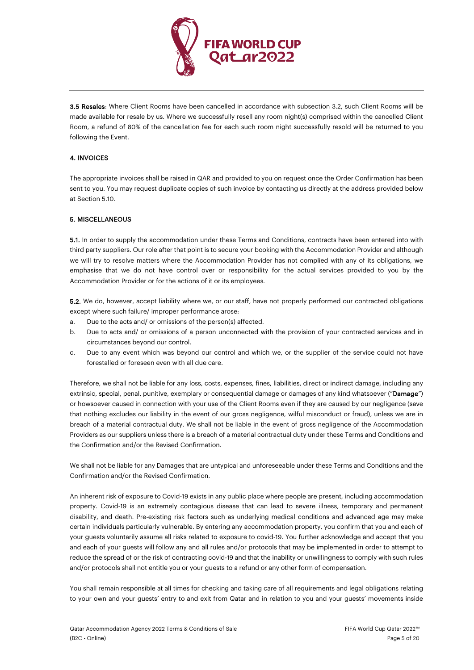

3.5 Resales: Where Client Rooms have been cancelled in accordance with subsection 3.2, such Client Rooms will be made available for resale by us. Where we successfully resell any room night(s) comprised within the cancelled Client Room, a refund of 80% of the cancellation fee for each such room night successfully resold will be returned to you following the Event.

# 4. INVOICES

The appropriate invoices shall be raised in QAR and provided to you on request once the Order Confirmation has been sent to you. You may request duplicate copies of such invoice by contacting us directly at the address provided below at Section 5.10.

## 5. MISCELLANEOUS

5.1. In order to supply the accommodation under these Terms and Conditions, contracts have been entered into with third party suppliers. Our role after that point is to secure your booking with the Accommodation Provider and although we will try to resolve matters where the Accommodation Provider has not complied with any of its obligations, we emphasise that we do not have control over or responsibility for the actual services provided to you by the Accommodation Provider or for the actions of it or its employees.

5.2. We do, however, accept liability where we, or our staff, have not properly performed our contracted obligations except where such failure/ improper performance arose:

- a. Due to the acts and/ or omissions of the person(s) affected.
- b. Due to acts and/ or omissions of a person unconnected with the provision of your contracted services and in circumstances beyond our control.
- c. Due to any event which was beyond our control and which we, or the supplier of the service could not have forestalled or foreseen even with all due care.

Therefore, we shall not be liable for any loss, costs, expenses, fines, liabilities, direct or indirect damage, including any extrinsic, special, penal, punitive, exemplary or consequential damage or damages of any kind whatsoever ("Damage") or howsoever caused in connection with your use of the Client Rooms even if they are caused by our negligence (save that nothing excludes our liability in the event of our gross negligence, wilful misconduct or fraud), unless we are in breach of a material contractual duty. We shall not be liable in the event of gross negligence of the Accommodation Providers as our suppliers unless there is a breach of a material contractual duty under these Terms and Conditions and the Confirmation and/or the Revised Confirmation.

We shall not be liable for any Damages that are untypical and unforeseeable under these Terms and Conditions and the Confirmation and/or the Revised Confirmation.

An inherent risk of exposure to Covid-19 exists in any public place where people are present, including accommodation property. Covid-19 is an extremely contagious disease that can lead to severe illness, temporary and permanent disability, and death. Pre-existing risk factors such as underlying medical conditions and advanced age may make certain individuals particularly vulnerable. By entering any accommodation property, you confirm that you and each of your guests voluntarily assume all risks related to exposure to covid-19. You further acknowledge and accept that you and each of your guests will follow any and all rules and/or protocols that may be implemented in order to attempt to reduce the spread of or the risk of contracting covid-19 and that the inability or unwillingness to comply with such rules and/or protocols shall not entitle you or your guests to a refund or any other form of compensation.

You shall remain responsible at all times for checking and taking care of all requirements and legal obligations relating to your own and your guests' entry to and exit from Qatar and in relation to you and your guests' movements inside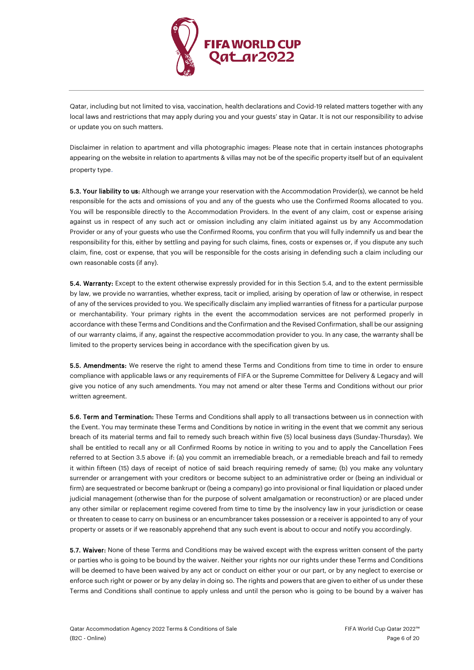

Qatar, including but not limited to visa, vaccination, health declarations and Covid-19 related matters together with any local laws and restrictions that may apply during you and your guests' stay in Qatar. It is not our responsibility to advise or update you on such matters.

Disclaimer in relation to apartment and villa photographic images: Please note that in certain instances photographs appearing on the website in relation to apartments & villas may not be of the specific property itself but of an equivalent property type.

5.3. Your liability to us: Although we arrange your reservation with the Accommodation Provider(s), we cannot be held responsible for the acts and omissions of you and any of the guests who use the Confirmed Rooms allocated to you. You will be responsible directly to the Accommodation Providers. In the event of any claim, cost or expense arising against us in respect of any such act or omission including any claim initiated against us by any Accommodation Provider or any of your guests who use the Confirmed Rooms, you confirm that you will fully indemnify us and bear the responsibility for this, either by settling and paying for such claims, fines, costs or expenses or, if you dispute any such claim, fine, cost or expense, that you will be responsible for the costs arising in defending such a claim including our own reasonable costs (if any).

5.4. Warranty: Except to the extent otherwise expressly provided for in this Section 5.4, and to the extent permissible by law, we provide no warranties, whether express, tacit or implied, arising by operation of law or otherwise, in respect of any of the services provided to you. We specifically disclaim any implied warranties of fitness for a particular purpose or merchantability. Your primary rights in the event the accommodation services are not performed properly in accordance with these Terms and Conditions and the Confirmation and the Revised Confirmation, shall be our assigning of our warranty claims, if any, against the respective accommodation provider to you. In any case, the warranty shall be limited to the property services being in accordance with the specification given by us.

5.5. Amendments: We reserve the right to amend these Terms and Conditions from time to time in order to ensure compliance with applicable laws or any requirements of FIFA or the Supreme Committee for Delivery & Legacy and will give you notice of any such amendments. You may not amend or alter these Terms and Conditions without our prior written agreement.

5.6. Term and Termination: These Terms and Conditions shall apply to all transactions between us in connection with the Event. You may terminate these Terms and Conditions by notice in writing in the event that we commit any serious breach of its material terms and fail to remedy such breach within five (5) local business days (Sunday-Thursday). We shall be entitled to recall any or all Confirmed Rooms by notice in writing to you and to apply the Cancellation Fees referred to at Section 3.5 above if: (a) you commit an irremediable breach, or a remediable breach and fail to remedy it within fifteen (15) days of receipt of notice of said breach requiring remedy of same; (b) you make any voluntary surrender or arrangement with your creditors or become subject to an administrative order or (being an individual or firm) are sequestrated or become bankrupt or (being a company) go into provisional or final liquidation or placed under judicial management (otherwise than for the purpose of solvent amalgamation or reconstruction) or are placed under any other similar or replacement regime covered from time to time by the insolvency law in your jurisdiction or cease or threaten to cease to carry on business or an encumbrancer takes possession or a receiver is appointed to any of your property or assets or if we reasonably apprehend that any such event is about to occur and notify you accordingly.

5.7. Waiver: None of these Terms and Conditions may be waived except with the express written consent of the party or parties who is going to be bound by the waiver. Neither your rights nor our rights under these Terms and Conditions will be deemed to have been waived by any act or conduct on either your or our part, or by any neglect to exercise or enforce such right or power or by any delay in doing so. The rights and powers that are given to either of us under these Terms and Conditions shall continue to apply unless and until the person who is going to be bound by a waiver has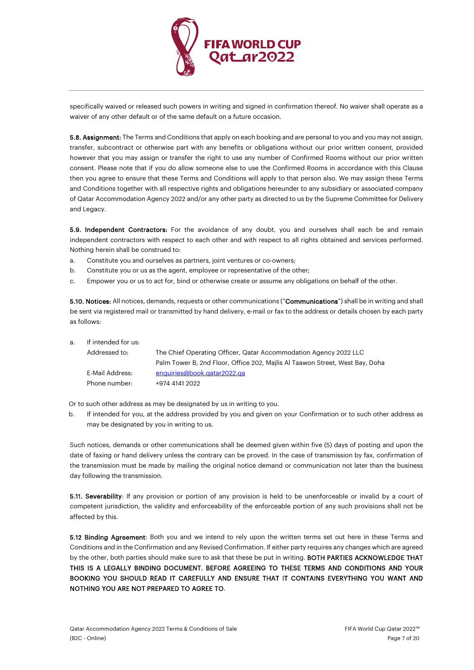

specifically waived or released such powers in writing and signed in confirmation thereof. No waiver shall operate as a waiver of any other default or of the same default on a future occasion.

5.8. Assignment: The Terms and Conditions that apply on each booking and are personal to you and you may not assign, transfer, subcontract or otherwise part with any benefits or obligations without our prior written consent, provided however that you may assign or transfer the right to use any number of Confirmed Rooms without our prior written consent. Please note that if you do allow someone else to use the Confirmed Rooms in accordance with this Clause then you agree to ensure that these Terms and Conditions will apply to that person also. We may assign these Terms and Conditions together with all respective rights and obligations hereunder to any subsidiary or associated company of Qatar Accommodation Agency 2022 and/or any other party as directed to us by the Supreme Committee for Delivery and Legacy.

5.9. Independent Contractors: For the avoidance of any doubt, you and ourselves shall each be and remain independent contractors with respect to each other and with respect to all rights obtained and services performed. Nothing herein shall be construed to:

- a. Constitute you and ourselves as partners, joint ventures or co-owners;
- b. Constitute you or us as the agent, employee or representative of the other;
- c. Empower you or us to act for, bind or otherwise create or assume any obligations on behalf of the other.

5.10. Notices: All notices, demands, requests or other communications ("Communications") shall be in writing and shall be sent via registered mail or transmitted by hand delivery, e-mail or fax to the address or details chosen by each party as follows:

a. If intended for us:

| Addressed to:   | The Chief Operating Officer, Qatar Accommodation Agency 2022 LLC             |
|-----------------|------------------------------------------------------------------------------|
|                 | Palm Tower B, 2nd Floor, Office 202, Mailis Al Taawon Street, West Bay, Doha |
| E-Mail Address: | enquiries@book.qatar2022.qa                                                  |
| Phone number:   | +974 4141 2022                                                               |

Or to such other address as may be designated by us in writing to you.

b. If intended for you, at the address provided by you and given on your Confirmation or to such other address as may be designated by you in writing to us.

Such notices, demands or other communications shall be deemed given within five (5) days of posting and upon the date of faxing or hand delivery unless the contrary can be proved. In the case of transmission by fax, confirmation of the transmission must be made by mailing the original notice demand or communication not later than the business day following the transmission.

5.11. Severability: If any provision or portion of any provision is held to be unenforceable or invalid by a court of competent jurisdiction, the validity and enforceability of the enforceable portion of any such provisions shall not be affected by this.

5.12 Binding Agreement: Both you and we intend to rely upon the written terms set out here in these Terms and Conditions and in the Confirmation and any Revised Confirmation. If either party requires any changes which are agreed by the other, both parties should make sure to ask that these be put in writing. BOTH PARTIES ACKNOWLEDGE THAT THIS IS A LEGALLY BINDING DOCUMENT. BEFORE AGREEING TO THESE TERMS AND CONDITIONS AND YOUR BOOKING YOU SHOULD READ IT CAREFULLY AND ENSURE THAT IT CONTAINS EVERYTHING YOU WANT AND NOTHING YOU ARE NOT PREPARED TO AGREE TO.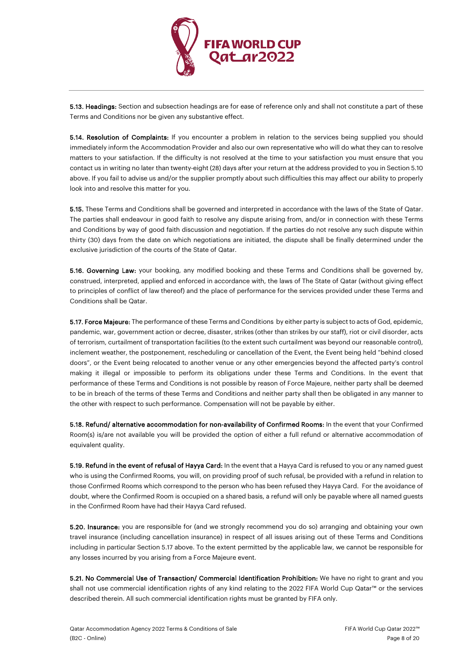

5.13. Headings: Section and subsection headings are for ease of reference only and shall not constitute a part of these Terms and Conditions nor be given any substantive effect.

5.14. Resolution of Complaints: If you encounter a problem in relation to the services being supplied you should immediately inform the Accommodation Provider and also our own representative who will do what they can to resolve matters to your satisfaction. If the difficulty is not resolved at the time to your satisfaction you must ensure that you contact us in writing no later than twenty-eight (28) days after your return at the address provided to you in Section 5.10 above. If you fail to advise us and/or the supplier promptly about such difficulties this may affect our ability to properly look into and resolve this matter for you.

5.15. These Terms and Conditions shall be governed and interpreted in accordance with the laws of the State of Qatar. The parties shall endeavour in good faith to resolve any dispute arising from, and/or in connection with these Terms and Conditions by way of good faith discussion and negotiation. If the parties do not resolve any such dispute within thirty (30) days from the date on which negotiations are initiated, the dispute shall be finally determined under the exclusive jurisdiction of the courts of the State of Qatar.

5.16. Governing Law: your booking, any modified booking and these Terms and Conditions shall be governed by, construed, interpreted, applied and enforced in accordance with, the laws of The State of Qatar (without giving effect to principles of conflict of law thereof) and the place of performance for the services provided under these Terms and Conditions shall be Qatar.

5.17. Force Majeure: The performance of these Terms and Conditions by either party is subject to acts of God, epidemic, pandemic, war, government action or decree, disaster, strikes (other than strikes by our staff), riot or civil disorder, acts of terrorism, curtailment of transportation facilities (to the extent such curtailment was beyond our reasonable control), inclement weather, the postponement, rescheduling or cancellation of the Event, the Event being held "behind closed doors", or the Event being relocated to another venue or any other emergencies beyond the affected party's control making it illegal or impossible to perform its obligations under these Terms and Conditions. In the event that performance of these Terms and Conditions is not possible by reason of Force Majeure, neither party shall be deemed to be in breach of the terms of these Terms and Conditions and neither party shall then be obligated in any manner to the other with respect to such performance. Compensation will not be payable by either.

5.18. Refund/ alternative accommodation for non-availability of Confirmed Rooms: In the event that your Confirmed Room(s) is/are not available you will be provided the option of either a full refund or alternative accommodation of equivalent quality.

5.19. Refund in the event of refusal of Hayya Card: In the event that a Hayya Card is refused to you or any named guest who is using the Confirmed Rooms, you will, on providing proof of such refusal, be provided with a refund in relation to those Confirmed Rooms which correspond to the person who has been refused they Hayya Card. For the avoidance of doubt, where the Confirmed Room is occupied on a shared basis, a refund will only be payable where all named guests in the Confirmed Room have had their Hayya Card refused.

5.20. Insurance: you are responsible for (and we strongly recommend you do so) arranging and obtaining your own travel insurance (including cancellation insurance) in respect of all issues arising out of these Terms and Conditions including in particular Section 5.17 above. To the extent permitted by the applicable law, we cannot be responsible for any losses incurred by you arising from a Force Majeure event.

5.21. No Commercial Use of Transaction/ Commercial Identification Prohibition: We have no right to grant and you shall not use commercial identification rights of any kind relating to the 2022 FIFA World Cup Qatar™ or the services described therein. All such commercial identification rights must be granted by FIFA only.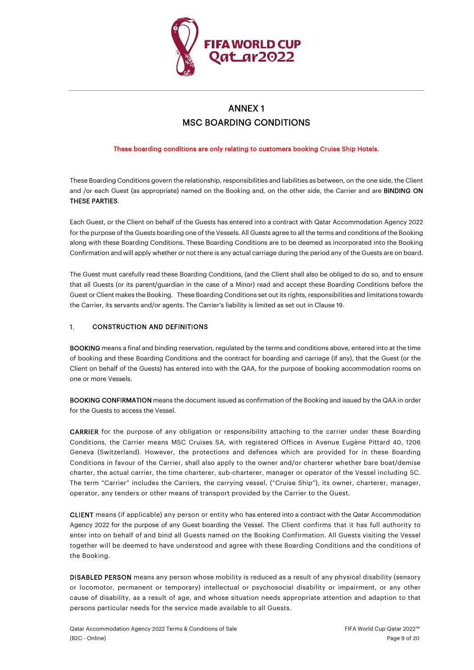

# ANNEX 1 MSC BOARDING CONDITIONS

These boarding conditions are only relating to customers booking Cruise Ship Hotels.

These Boarding Conditions govern the relationship, responsibilities and liabilities as between, on the one side, the Client and /or each Guest (as appropriate) named on the Booking and, on the other side, the Carrier and are BINDING ON THESE PARTIES.

Each Guest, or the Client on behalf of the Guests has entered into a contract with Qatar Accommodation Agency 2022 for the purpose of the Guests boarding one of the Vessels. All Guests agree to all the terms and conditions of the Booking along with these Boarding Conditions. These Boarding Conditions are to be deemed as incorporated into the Booking Confirmation and will apply whether or not there is any actual carriage during the period any of the Guests are on board.

The Guest must carefully read these Boarding Conditions, (and the Client shall also be obliged to do so, and to ensure that all Guests (or its parent/guardian in the case of a Minor) read and accept these Boarding Conditions before the Guest or Client makes the Booking. These Boarding Conditions set out its rights, responsibilities and limitations towards the Carrier, its servants and/or agents. The Carrier's liability is limited as set out in Claus[e 19.](#page-16-0) 

### $1.$ CONSTRUCTION AND DEFINITIONS

BOOKING means a final and binding reservation, regulated by the terms and conditions above, entered into at the time of booking and these Boarding Conditions and the contract for boarding and carriage (if any), that the Guest (or the Client on behalf of the Guests) has entered into with the QAA, for the purpose of booking accommodation rooms on one or more Vessels.

BOOKING CONFIRMATION means the document issued as confirmation of the Booking and issued by the QAA in order for the Guests to access the Vessel.

CARRIER for the purpose of any obligation or responsibility attaching to the carrier under these Boarding Conditions, the Carrier means MSC Cruises SA, with registered Offices in Avenue Eugène Pittard 40, 1206 Geneva (Switzerland). However, the protections and defences which are provided for in these Boarding Conditions in favour of the Carrier, shall also apply to the owner and/or charterer whether bare boat/demise charter, the actual carrier, the time charterer, sub-charterer, manager or operator of the Vessel including SC. The term "Carrier" includes the Carriers, the carrying vessel, ("Cruise Ship"), its owner, charterer, manager, operator, any tenders or other means of transport provided by the Carrier to the Guest.

CLIENT means (if applicable) any person or entity who has entered into a contract with the Qatar Accommodation Agency 2022 for the purpose of any Guest boarding the Vessel. The Client confirms that it has full authority to enter into on behalf of and bind all Guests named on the Booking Confirmation. All Guests visiting the Vessel together will be deemed to have understood and agree with these Boarding Conditions and the conditions of the Booking.

DISABLED PERSON means any person whose mobility is reduced as a result of any physical disability (sensory or locomotor, permanent or temporary) intellectual or psychosocial disability or impairment, or any other cause of disability, as a result of age, and whose situation needs appropriate attention and adaption to that persons particular needs for the service made available to all Guests.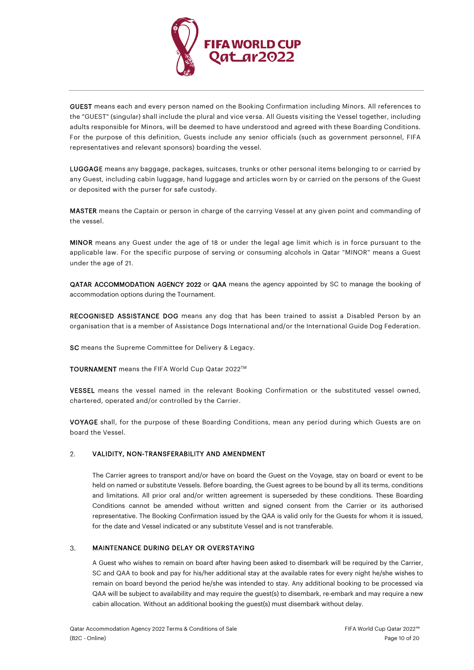

GUEST means each and every person named on the Booking Confirmation including Minors. All references to the "GUEST" (singular) shall include the plural and vice versa. All Guests visiting the Vessel together, including adults responsible for Minors, will be deemed to have understood and agreed with these Boarding Conditions. For the purpose of this definition, Guests include any senior officials (such as government personnel, FIFA representatives and relevant sponsors) boarding the vessel.

LUGGAGE means any baggage, packages, suitcases, trunks or other personal items belonging to or carried by any Guest, including cabin luggage, hand luggage and articles worn by or carried on the persons of the Guest or deposited with the purser for safe custody.

MASTER means the Captain or person in charge of the carrying Vessel at any given point and commanding of the vessel.

MINOR means any Guest under the age of 18 or under the legal age limit which is in force pursuant to the applicable law. For the specific purpose of serving or consuming alcohols in Qatar "MINOR" means a Guest under the age of 21.

QATAR ACCOMMODATION AGENCY 2022 or QAA means the agency appointed by SC to manage the booking of accommodation options during the Tournament.

RECOGNISED ASSISTANCE DOG means any dog that has been trained to assist a Disabled Person by an organisation that is a member of Assistance Dogs International and/or the International Guide Dog Federation.

SC means the Supreme Committee for Delivery & Legacy.

TOURNAMENT means the FIFA World Cup Qatar 2022™

VESSEL means the vessel named in the relevant Booking Confirmation or the substituted vessel owned, chartered, operated and/or controlled by the Carrier.

VOYAGE shall, for the purpose of these Boarding Conditions, mean any period during which Guests are on board the Vessel.

### $2.$ VALIDITY, NON-TRANSFERABILITY AND AMENDMENT

The Carrier agrees to transport and/or have on board the Guest on the Voyage, stay on board or event to be held on named or substitute Vessels. Before boarding, the Guest agrees to be bound by all its terms, conditions and limitations. All prior oral and/or written agreement is superseded by these conditions. These Boarding Conditions cannot be amended without written and signed consent from the Carrier or its authorised representative. The Booking Confirmation issued by the QAA is valid only for the Guests for whom it is issued, for the date and Vessel indicated or any substitute Vessel and is not transferable.

### $3.$ MAINTENANCE DURING DELAY OR OVERSTAYING

A Guest who wishes to remain on board after having been asked to disembark will be required by the Carrier, SC and QAA to book and pay for his/her additional stay at the available rates for every night he/she wishes to remain on board beyond the period he/she was intended to stay. Any additional booking to be processed via QAA will be subject to availability and may require the guest(s) to disembark, re-embark and may require a new cabin allocation. Without an additional booking the guest(s) must disembark without delay.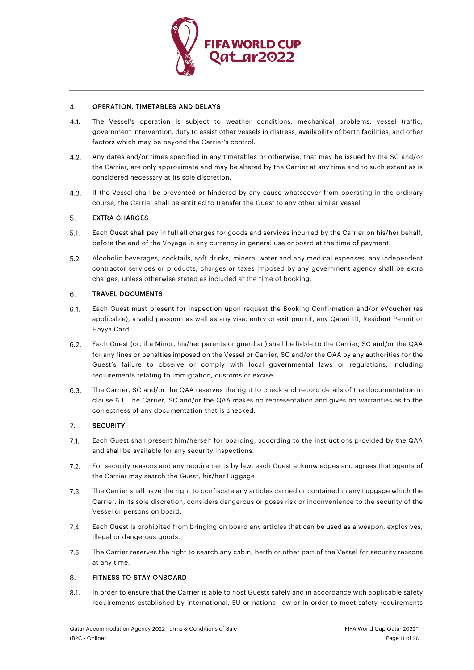

### $\overline{4}$ . OPERATION, TIMETABLES AND DELAYS

- The Vessel's operation is subject to weather conditions, mechanical problems, vessel traffic,  $4.1.$ government intervention, duty to assist other vessels in distress, availability of berth facilities, and other factors which may be beyond the Carrier's control.
- $4.2.$ Any dates and/or times specified in any timetables or otherwise, that may be issued by the SC and/or the Carrier, are only approximate and may be altered by the Carrier at any time and to such extent as is considered necessary at its sole discretion.
- If the Vessel shall be prevented or hindered by any cause whatsoever from operating in the ordinary 4.3. course, the Carrier shall be entitled to transfer the Guest to any other similar vessel.

### 5. EXTRA CHARGES

- $5.1.$ Each Guest shall pay in full all charges for goods and services incurred by the Carrier on his/her behalf, before the end of the Voyage in any currency in general use onboard at the time of payment.
- $5.2.$ Alcoholic beverages, cocktails, soft drinks, mineral water and any medical expenses, any independent contractor services or products, charges or taxes imposed by any government agency shall be extra charges, unless otherwise stated as included at the time of booking.

#### TRAVEL DOCUMENTS 6.

- <span id="page-10-0"></span> $6.1.$ Each Guest must present for inspection upon request the Booking Confirmation and/or eVoucher (as applicable), a valid passport as well as any visa, entry or exit permit, any Qatari ID, Resident Permit or Hayya Card.
- $6.2.$ Each Guest (or, if a Minor, his/her parents or guardian) shall be liable to the Carrier, SC and/or the QAA for any fines or penalties imposed on the Vessel or Carrier, SC and/or the QAA by any authorities for the Guest's failure to observe or comply with local governmental laws or regulations, including requirements relating to immigration, customs or excise.
- 6.3. The Carrier, SC and/or the QAA reserves the right to check and record details of the documentation in clause [6.1.](#page-10-0) The Carrier, SC and/or the QAA makes no representation and gives no warranties as to the correctness of any documentation that is checked.

### $7.$ **SECURITY**

- $7.1.$ Each Guest shall present him/herself for boarding, according to the instructions provided by the QAA and shall be available for any security inspections.
- $7.2.$ For security reasons and any requirements by law, each Guest acknowledges and agrees that agents of the Carrier may search the Guest, his/her Luggage.
- The Carrier shall have the right to confiscate any articles carried or contained in any Luggage which the  $7.3.$ Carrier, in its sole discretion, considers dangerous or poses risk or inconvenience to the security of the Vessel or persons on board.
- Each Guest is prohibited from bringing on board any articles that can be used as a weapon, explosives,  $7.4.$ illegal or dangerous goods.
- $7.5.$ The Carrier reserves the right to search any cabin, berth or other part of the Vessel for security reasons at any time.

#### <span id="page-10-1"></span>8. FITNESS TO STAY ONBOARD

 $8.1.$ In order to ensure that the Carrier is able to host Guests safely and in accordance with applicable safety requirements established by international, EU or national law or in order to meet safety requirements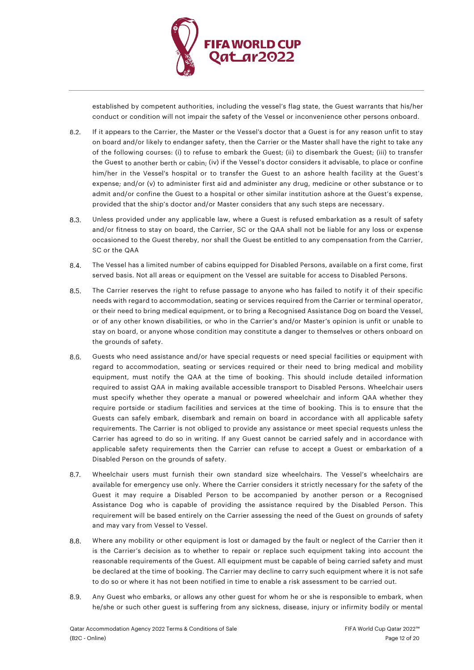

established by competent authorities, including the vessel's flag state, the Guest warrants that his/her conduct or condition will not impair the safety of the Vessel or inconvenience other persons onboard.

- $8.2.$ If it appears to the Carrier, the Master or the Vessel's doctor that a Guest is for any reason unfit to stay on board and/or likely to endanger safety, then the Carrier or the Master shall have the right to take any of the following courses: (i) to refuse to embark the Guest; (ii) to disembark the Guest; (iii) to transfer the Guest to another berth or cabin; (iv) if the Vessel's doctor considers it advisable, to place or confine him/her in the Vessel's hospital or to transfer the Guest to an ashore health facility at the Guest's expense; and/or (v) to administer first aid and administer any drug, medicine or other substance or to admit and/or confine the Guest to a hospital or other similar institution ashore at the Guest's expense, provided that the ship's doctor and/or Master considers that any such steps are necessary.
- 8.3. Unless provided under any applicable law, where a Guest is refused embarkation as a result of safety and/or fitness to stay on board, the Carrier, SC or the QAA shall not be liable for any loss or expense occasioned to the Guest thereby, nor shall the Guest be entitled to any compensation from the Carrier, SC or the QAA
- $8.4.$ The Vessel has a limited number of cabins equipped for Disabled Persons, available on a first come, first served basis. Not all areas or equipment on the Vessel are suitable for access to Disabled Persons.
- $8.5.$ The Carrier reserves the right to refuse passage to anyone who has failed to notify it of their specific needs with regard to accommodation, seating or services required from the Carrier or terminal operator, or their need to bring medical equipment, or to bring a Recognised Assistance Dog on board the Vessel, or of any other known disabilities, or who in the Carrier's and/or Master's opinion is unfit or unable to stay on board, or anyone whose condition may constitute a danger to themselves or others onboard on the grounds of safety.
- 8.6. Guests who need assistance and/or have special requests or need special facilities or equipment with regard to accommodation, seating or services required or their need to bring medical and mobility equipment, must notify the QAA at the time of booking. This should include detailed information required to assist QAA in making available accessible transport to Disabled Persons. Wheelchair users must specify whether they operate a manual or powered wheelchair and inform QAA whether they require portside or stadium facilities and services at the time of booking. This is to ensure that the Guests can safely embark, disembark and remain on board in accordance with all applicable safety requirements. The Carrier is not obliged to provide any assistance or meet special requests unless the Carrier has agreed to do so in writing. If any Guest cannot be carried safely and in accordance with applicable safety requirements then the Carrier can refuse to accept a Guest or embarkation of a Disabled Person on the grounds of safety.
- $8.7.$ Wheelchair users must furnish their own standard size wheelchairs. The Vessel's wheelchairs are available for emergency use only. Where the Carrier considers it strictly necessary for the safety of the Guest it may require a Disabled Person to be accompanied by another person or a Recognised Assistance Dog who is capable of providing the assistance required by the Disabled Person. This requirement will be based entirely on the Carrier assessing the need of the Guest on grounds of safety and may vary from Vessel to Vessel.
- $8.8.$ Where any mobility or other equipment is lost or damaged by the fault or neglect of the Carrier then it is the Carrier's decision as to whether to repair or replace such equipment taking into account the reasonable requirements of the Guest. All equipment must be capable of being carried safety and must be declared at the time of booking. The Carrier may decline to carry such equipment where it is not safe to do so or where it has not been notified in time to enable a risk assessment to be carried out.
- Any Guest who embarks, or allows any other guest for whom he or she is responsible to embark, when 8.9. he/she or such other guest is suffering from any sickness, disease, injury or infirmity bodily or mental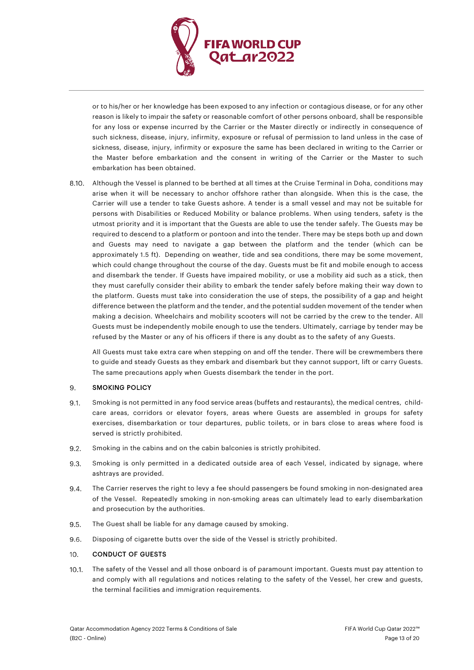

or to his/her or her knowledge has been exposed to any infection or contagious disease, or for any other reason is likely to impair the safety or reasonable comfort of other persons onboard, shall be responsible for any loss or expense incurred by the Carrier or the Master directly or indirectly in consequence of such sickness, disease, injury, infirmity, exposure or refusal of permission to land unless in the case of sickness, disease, injury, infirmity or exposure the same has been declared in writing to the Carrier or the Master before embarkation and the consent in writing of the Carrier or the Master to such embarkation has been obtained.

Although the Vessel is planned to be berthed at all times at the Cruise Terminal in Doha, conditions may arise when it will be necessary to anchor offshore rather than alongside. When this is the case, the Carrier will use a tender to take Guests ashore. A tender is a small vessel and may not be suitable for persons with Disabilities or Reduced Mobility or balance problems. When using tenders, safety is the utmost priority and it is important that the Guests are able to use the tender safely. The Guests may be required to descend to a platform or pontoon and into the tender. There may be steps both up and down and Guests may need to navigate a gap between the platform and the tender (which can be approximately 1.5 ft). Depending on weather, tide and sea conditions, there may be some movement, which could change throughout the course of the day. Guests must be fit and mobile enough to access and disembark the tender. If Guests have impaired mobility, or use a mobility aid such as a stick, then they must carefully consider their ability to embark the tender safely before making their way down to the platform. Guests must take into consideration the use of steps, the possibility of a gap and height difference between the platform and the tender, and the potential sudden movement of the tender when making a decision. Wheelchairs and mobility scooters will not be carried by the crew to the tender. All Guests must be independently mobile enough to use the tenders. Ultimately, carriage by tender may be refused by the Master or any of his officers if there is any doubt as to the safety of any Guests.

All Guests must take extra care when stepping on and off the tender. There will be crewmembers there to guide and steady Guests as they embark and disembark but they cannot support, lift or carry Guests. The same precautions apply when Guests disembark the tender in the port.

#### 9. SMOKING POLICY

- $9.1.$ Smoking is not permitted in any food service areas (buffets and restaurants), the medical centres, childcare areas, corridors or elevator foyers, areas where Guests are assembled in groups for safety exercises, disembarkation or tour departures, public toilets, or in bars close to areas where food is served is strictly prohibited.
- $9.2.$ Smoking in the cabins and on the cabin balconies is strictly prohibited.
- 9.3. Smoking is only permitted in a dedicated outside area of each Vessel, indicated by signage, where ashtrays are provided.
- The Carrier reserves the right to levy a fee should passengers be found smoking in non-designated area 9.4. of the Vessel. Repeatedly smoking in non-smoking areas can ultimately lead to early disembarkation and prosecution by the authorities.
- 9.5. The Guest shall be liable for any damage caused by smoking.
- 9.6. Disposing of cigarette butts over the side of the Vessel is strictly prohibited.

#### CONDUCT OF GUESTS 10.

 $10.1.$ The safety of the Vessel and all those onboard is of paramount important. Guests must pay attention to and comply with all regulations and notices relating to the safety of the Vessel, her crew and guests, the terminal facilities and immigration requirements.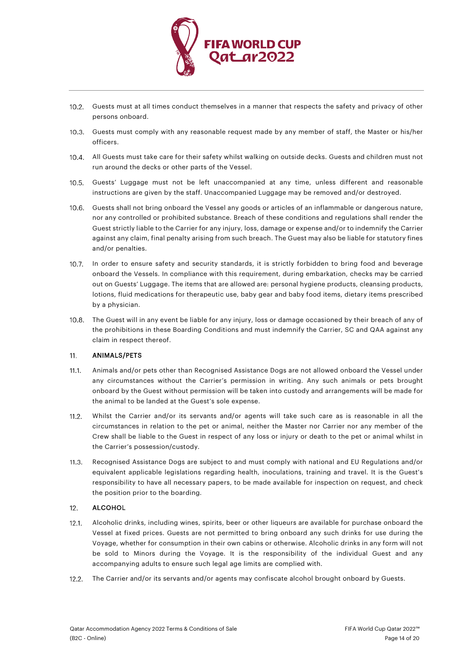

- 10.2. Guests must at all times conduct themselves in a manner that respects the safety and privacy of other persons onboard.
- 10.3. Guests must comply with any reasonable request made by any member of staff, the Master or his/her officers.
- All Guests must take care for their safety whilst walking on outside decks. Guests and children must not run around the decks or other parts of the Vessel.
- 10.5. Guests' Luggage must not be left unaccompanied at any time, unless different and reasonable instructions are given by the staff. Unaccompanied Luggage may be removed and/or destroyed.
- 10.6. Guests shall not bring onboard the Vessel any goods or articles of an inflammable or dangerous nature, nor any controlled or prohibited substance. Breach of these conditions and regulations shall render the Guest strictly liable to the Carrier for any injury, loss, damage or expense and/or to indemnify the Carrier against any claim, final penalty arising from such breach. The Guest may also be liable for statutory fines and/or penalties.
- 10.7. In order to ensure safety and security standards, it is strictly forbidden to bring food and beverage onboard the Vessels. In compliance with this requirement, during embarkation, checks may be carried out on Guests' Luggage. The items that are allowed are: personal hygiene products, cleansing products, lotions, fluid medications for therapeutic use, baby gear and baby food items, dietary items prescribed by a physician.
- 10.8. The Guest will in any event be liable for any injury, loss or damage occasioned by their breach of any of the prohibitions in these Boarding Conditions and must indemnify the Carrier, SC and QAA against any claim in respect thereof.

### $11.$ ANIMALS/PETS

- $11.1.$ Animals and/or pets other than Recognised Assistance Dogs are not allowed onboard the Vessel under any circumstances without the Carrier's permission in writing. Any such animals or pets brought onboard by the Guest without permission will be taken into custody and arrangements will be made for the animal to be landed at the Guest's sole expense.
- $112$ Whilst the Carrier and/or its servants and/or agents will take such care as is reasonable in all the circumstances in relation to the pet or animal, neither the Master nor Carrier nor any member of the Crew shall be liable to the Guest in respect of any loss or injury or death to the pet or animal whilst in the Carrier's possession/custody.
- Recognised Assistance Dogs are subject to and must comply with national and EU Regulations and/or  $11.3.$ equivalent applicable legislations regarding health, inoculations, training and travel. It is the Guest's responsibility to have all necessary papers, to be made available for inspection on request, and check the position prior to the boarding.

### $12.$ ALCOHOL

- $12.1.$ Alcoholic drinks, including wines, spirits, beer or other liqueurs are available for purchase onboard the Vessel at fixed prices. Guests are not permitted to bring onboard any such drinks for use during the Voyage, whether for consumption in their own cabins or otherwise. Alcoholic drinks in any form will not be sold to Minors during the Voyage. It is the responsibility of the individual Guest and any accompanying adults to ensure such legal age limits are complied with.
- The Carrier and/or its servants and/or agents may confiscate alcohol brought onboard by Guests. $12.2.$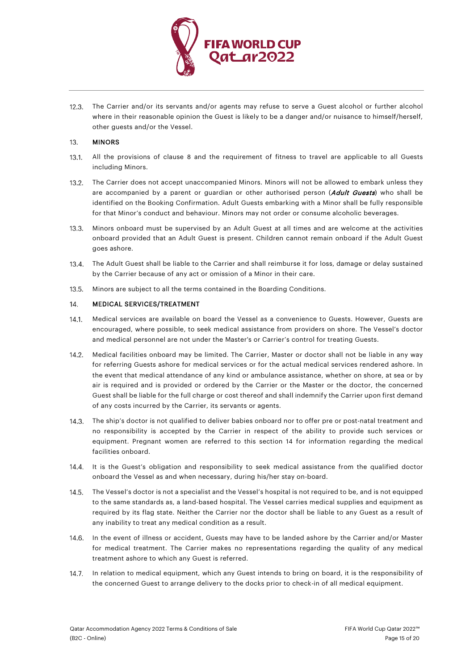

12.3. The Carrier and/or its servants and/or agents may refuse to serve a Guest alcohol or further alcohol where in their reasonable opinion the Guest is likely to be a danger and/or nuisance to himself/herself, other guests and/or the Vessel.

#### 13. MINORS

- $13.1$ All the provisions of clause [8](#page-10-1) and the requirement of fitness to travel are applicable to all Guests including Minors.
- 13.2. The Carrier does not accept unaccompanied Minors. Minors will not be allowed to embark unless they are accompanied by a parent or guardian or other authorised person (Adult Guests) who shall be identified on the Booking Confirmation. Adult Guests embarking with a Minor shall be fully responsible for that Minor's conduct and behaviour. Minors may not order or consume alcoholic beverages.
- Minors onboard must be supervised by an Adult Guest at all times and are welcome at the activities onboard provided that an Adult Guest is present. Children cannot remain onboard if the Adult Guest goes ashore.
- $13.4.$ The Adult Guest shall be liable to the Carrier and shall reimburse it for loss, damage or delay sustained by the Carrier because of any act or omission of a Minor in their care.
- $13.5.$ Minors are subject to all the terms contained in the Boarding Conditions.

#### 14. MEDICAL SERVICES/TREATMENT

- Medical services are available on board the Vessel as a convenience to Guests. However, Guests are  $14.1.$ encouraged, where possible, to seek medical assistance from providers on shore. The Vessel's doctor and medical personnel are not under the Master's or Carrier's control for treating Guests.
- $14.2.$ Medical facilities onboard may be limited. The Carrier, Master or doctor shall not be liable in any way for referring Guests ashore for medical services or for the actual medical services rendered ashore. In the event that medical attendance of any kind or ambulance assistance, whether on shore, at sea or by air is required and is provided or ordered by the Carrier or the Master or the doctor, the concerned Guest shall be liable for the full charge or cost thereof and shall indemnify the Carrier upon first demand of any costs incurred by the Carrier, its servants or agents.
- 14.3. The ship's doctor is not qualified to deliver babies onboard nor to offer pre or post-natal treatment and no responsibility is accepted by the Carrier in respect of the ability to provide such services or equipment. Pregnant women are referred to this section 14 for information regarding the medical facilities onboard.
- 14.4. It is the Guest's obligation and responsibility to seek medical assistance from the qualified doctor onboard the Vessel as and when necessary, during his/her stay on-board.
- The Vessel's doctor is not a specialist and the Vessel's hospital is not required to be, and is not equipped to the same standards as, a land-based hospital. The Vessel carries medical supplies and equipment as required by its flag state. Neither the Carrier nor the doctor shall be liable to any Guest as a result of any inability to treat any medical condition as a result.
- 14.6. In the event of illness or accident, Guests may have to be landed ashore by the Carrier and/or Master for medical treatment. The Carrier makes no representations regarding the quality of any medical treatment ashore to which any Guest is referred.
- 14.7. In relation to medical equipment, which any Guest intends to bring on board, it is the responsibility of the concerned Guest to arrange delivery to the docks prior to check-in of all medical equipment.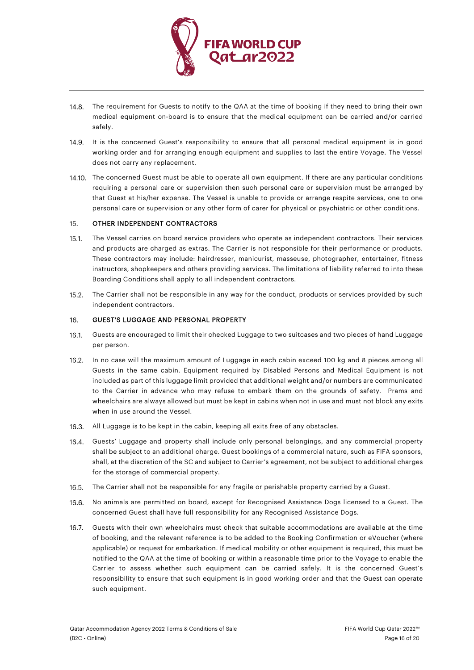

- 14.8. The requirement for Guests to notify to the QAA at the time of booking if they need to bring their own medical equipment on-board is to ensure that the medical equipment can be carried and/or carried safely.
- 14.9. It is the concerned Guest's responsibility to ensure that all personal medical equipment is in good working order and for arranging enough equipment and supplies to last the entire Voyage. The Vessel does not carry any replacement.
- 14.10. The concerned Guest must be able to operate all own equipment. If there are any particular conditions requiring a personal care or supervision then such personal care or supervision must be arranged by that Guest at his/her expense. The Vessel is unable to provide or arrange respite services, one to one personal care or supervision or any other form of carer for physical or psychiatric or other conditions.

#### OTHER INDEPENDENT CONTRACTORS  $15.$

- The Vessel carries on board service providers who operate as independent contractors. Their services and products are charged as extras. The Carrier is not responsible for their performance or products. These contractors may include: hairdresser, manicurist, masseuse, photographer, entertainer, fitness instructors, shopkeepers and others providing services. The limitations of liability referred to into these Boarding Conditions shall apply to all independent contractors.
- $15.2.$ The Carrier shall not be responsible in any way for the conduct, products or services provided by such independent contractors.

#### 16. GUEST'S LUGGAGE AND PERSONAL PROPERTY

- $16.1.$ Guests are encouraged to limit their checked Luggage to two suitcases and two pieces of hand Luggage per person.
- 16.2. In no case will the maximum amount of Luggage in each cabin exceed 100 kg and 8 pieces among all Guests in the same cabin. Equipment required by Disabled Persons and Medical Equipment is not included as part of this luggage limit provided that additional weight and/or numbers are communicated to the Carrier in advance who may refuse to embark them on the grounds of safety. Prams and wheelchairs are always allowed but must be kept in cabins when not in use and must not block any exits when in use around the Vessel.
- 16.3. All Luggage is to be kept in the cabin, keeping all exits free of any obstacles.
- $16.4.$ Guests' Luggage and property shall include only personal belongings, and any commercial property shall be subject to an additional charge. Guest bookings of a commercial nature, such as FIFA sponsors, shall, at the discretion of the SC and subject to Carrier's agreement, not be subject to additional charges for the storage of commercial property.
- 16.5. The Carrier shall not be responsible for any fragile or perishable property carried by a Guest.
- No animals are permitted on board, except for Recognised Assistance Dogs licensed to a Guest. The  $16.6.$ concerned Guest shall have full responsibility for any Recognised Assistance Dogs.
- $16.7.$ Guests with their own wheelchairs must check that suitable accommodations are available at the time of booking, and the relevant reference is to be added to the Booking Confirmation or eVoucher (where applicable) or request for embarkation. If medical mobility or other equipment is required, this must be notified to the QAA at the time of booking or within a reasonable time prior to the Voyage to enable the Carrier to assess whether such equipment can be carried safely. It is the concerned Guest's responsibility to ensure that such equipment is in good working order and that the Guest can operate such equipment.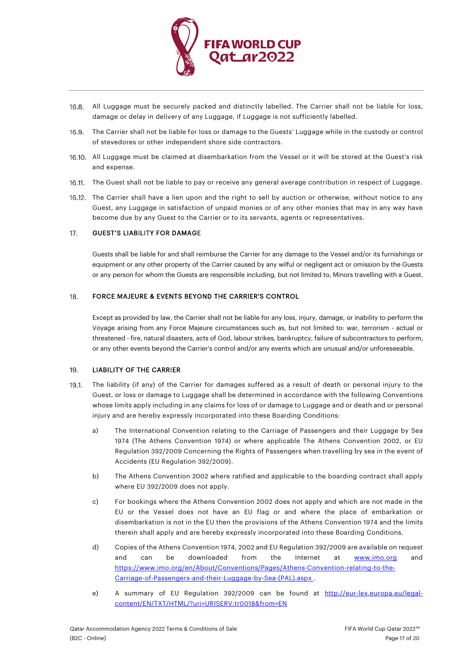

- 16.8. All Luggage must be securely packed and distinctly labelled. The Carrier shall not be liable for loss, damage or delay in delivery of any Luggage, if Luggage is not sufficiently labelled.
- $16.9.$ The Carrier shall not be liable for loss or damage to the Guests' Luggage while in the custody or control of stevedores or other independent shore side contractors.
- 16.10. All Luggage must be claimed at disembarkation from the Vessel or it will be stored at the Guest's risk and expense.
- 16.11. The Guest shall not be liable to pay or receive any general average contribution in respect of Luggage.
- 16.12. The Carrier shall have a lien upon and the right to sell by auction or otherwise, without notice to any Guest, any Luggage in satisfaction of unpaid monies or of any other monies that may in any way have become due by any Guest to the Carrier or to its servants, agents or representatives.

#### $17.$ GUEST'S LIABILITY FOR DAMAGE

Guests shall be liable for and shall reimburse the Carrier for any damage to the Vessel and/or its furnishings or equipment or any other property of the Carrier caused by any wilful or negligent act or omission by the Guests or any person for whom the Guests are responsible including, but not limited to, Minors travelling with a Guest.

#### FORCE MAJEURE & EVENTS BEYOND THE CARRIER'S CONTROL 18.

Except as provided by law, the Carrier shall not be liable for any loss, injury, damage, or inability to perform the Voyage arising from any Force Majeure circumstances such as, but not limited to: war, terrorism - actual or threatened - fire, natural disasters, acts of God, labour strikes, bankruptcy, failure of subcontractors to perform, or any other events beyond the Carrier's control and/or any events which are unusual and/or unforeseeable.

#### <span id="page-16-0"></span>19. LIABILITY OF THE CARRIER

- $19.1.$ The liability (if any) of the Carrier for damages suffered as a result of death or personal injury to the Guest, or loss or damage to Luggage shall be determined in accordance with the following Conventions whose limits apply including in any claims for loss of or damage to Luggage and or death and or personal injury and are hereby expressly incorporated into these Boarding Conditions:
	- a) The International Convention relating to the Carriage of Passengers and their Luggage by Sea 1974 (The Athens Convention 1974) or where applicable The Athens Convention 2002, or EU Regulation 392/2009 Concerning the Rights of Passengers when travelling by sea in the event of Accidents (EU Regulation 392/2009).
	- b) The Athens Convention 2002 where ratified and applicable to the boarding contract shall apply where EU 392/2009 does not apply.
	- c) For bookings where the Athens Convention 2002 does not apply and which are not made in the EU or the Vessel does not have an EU flag or and where the place of embarkation or disembarkation is not in the EU then the provisions of the Athens Convention 1974 and the limits therein shall apply and are hereby expressly incorporated into these Boarding Conditions.
	- d) Copies of the Athens Convention 1974, 2002 and EU Regulation 392/2009 are available on request and can be downloaded from the Internet at **[www.imo.org](http://www.imo.org/)** and https://www.imo.org/en/About/Conventions/Pages/Athens-Convention-relating-to-the-Carriage-of-Passengers-and-their-Luggage-by-Sea-(PAL).aspx .
	- e) A summary of EU Regulation 392/2009 can be found at [http://eur-lex.europa.eu/legal](http://eur-lex.europa.eu/legal-content/EN/TXT/HTML/?uri=URISERV:tr0018&from=EN)[content/EN/TXT/HTML/?uri=URISERV:tr0018&from=EN](http://eur-lex.europa.eu/legal-content/EN/TXT/HTML/?uri=URISERV:tr0018&from=EN)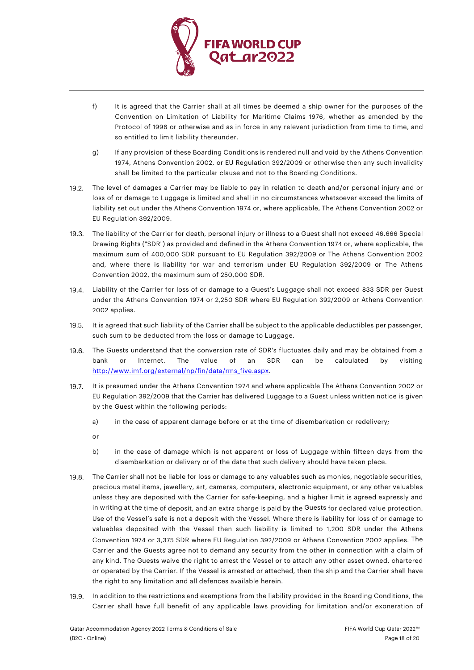

- f) It is agreed that the Carrier shall at all times be deemed a ship owner for the purposes of the Convention on Limitation of Liability for Maritime Claims 1976, whether as amended by the Protocol of 1996 or otherwise and as in force in any relevant jurisdiction from time to time, and so entitled to limit liability thereunder.
- g) If any provision of these Boarding Conditions is rendered null and void by the Athens Convention 1974, Athens Convention 2002, or EU Regulation 392/2009 or otherwise then any such invalidity shall be limited to the particular clause and not to the Boarding Conditions.
- The level of damages a Carrier may be liable to pay in relation to death and/or personal injury and or  $19.2.$ loss of or damage to Luggage is limited and shall in no circumstances whatsoever exceed the limits of liability set out under the Athens Convention 1974 or, where applicable, The Athens Convention 2002 or EU Regulation 392/2009.
- The liability of the Carrier for death, personal injury or illness to a Guest shall not exceed 46.666 Special Drawing Rights ("SDR") as provided and defined in the Athens Convention 1974 or, where applicable, the maximum sum of 400,000 SDR pursuant to EU Regulation 392/2009 or The Athens Convention 2002 and, where there is liability for war and terrorism under EU Regulation 392/2009 or The Athens Convention 2002, the maximum sum of 250,000 SDR.
- Liability of the Carrier for loss of or damage to a Guest's Luggage shall not exceed 833 SDR per Guest under the Athens Convention 1974 or 2,250 SDR where EU Regulation 392/2009 or Athens Convention 2002 applies.
- 19.5. It is agreed that such liability of the Carrier shall be subject to the applicable deductibles per passenger, such sum to be deducted from the loss or damage to Luggage.
- $19.6.$ The Guests understand that the conversion rate of SDR's fluctuates daily and may be obtained from a bank or Internet. The value of an SDR can be calculated by visiting [http://www.imf.org/external/np/fin/data/rms\\_five.aspx.](http://www.imf.org/external/np/fin/data/rms_five.aspx)
- It is presumed under the Athens Convention 1974 and where applicable The Athens Convention 2002 or  $19.7.$ EU Regulation 392/2009 that the Carrier has delivered Luggage to a Guest unless written notice is given by the Guest within the following periods:
	- a) in the case of apparent damage before or at the time of disembarkation or redelivery;

or

- b) in the case of damage which is not apparent or loss of Luggage within fifteen days from the disembarkation or delivery or of the date that such delivery should have taken place.
- 19.8. The Carrier shall not be liable for loss or damage to any valuables such as monies, negotiable securities, precious metal items, jewellery, art, cameras, computers, electronic equipment, or any other valuables unless they are deposited with the Carrier for safe-keeping, and a higher limit is agreed expressly and in writing at the time of deposit, and an extra charge is paid by the Guests for declared value protection. Use of the Vessel's safe is not a deposit with the Vessel. Where there is liability for loss of or damage to valuables deposited with the Vessel then such liability is limited to 1,200 SDR under the Athens Convention 1974 or 3,375 SDR where EU Regulation 392/2009 or Athens Convention 2002 applies. The Carrier and the Guests agree not to demand any security from the other in connection with a claim of any kind. The Guests waive the right to arrest the Vessel or to attach any other asset owned, chartered or operated by the Carrier. If the Vessel is arrested or attached, then the ship and the Carrier shall have the right to any limitation and all defences available herein.
- $19.9.$ In addition to the restrictions and exemptions from the liability provided in the Boarding Conditions, the Carrier shall have full benefit of any applicable laws providing for limitation and/or exoneration of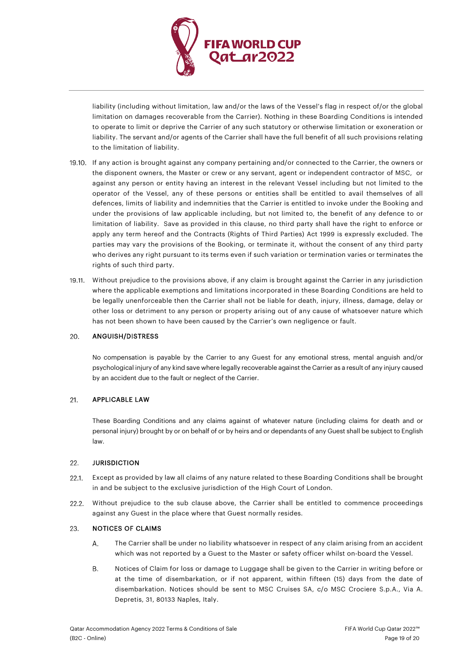

liability (including without limitation, law and/or the laws of the Vessel's flag in respect of/or the global limitation on damages recoverable from the Carrier). Nothing in these Boarding Conditions is intended to operate to limit or deprive the Carrier of any such statutory or otherwise limitation or exoneration or liability. The servant and/or agents of the Carrier shall have the full benefit of all such provisions relating to the limitation of liability.

- 19.10. If any action is brought against any company pertaining and/or connected to the Carrier, the owners or the disponent owners, the Master or crew or any servant, agent or independent contractor of MSC, or against any person or entity having an interest in the relevant Vessel including but not limited to the operator of the Vessel, any of these persons or entities shall be entitled to avail themselves of all defences, limits of liability and indemnities that the Carrier is entitled to invoke under the Booking and under the provisions of law applicable including, but not limited to, the benefit of any defence to or limitation of liability. Save as provided in this clause, no third party shall have the right to enforce or apply any term hereof and the Contracts (Rights of Third Parties) Act 1999 is expressly excluded. The parties may vary the provisions of the Booking, or terminate it, without the consent of any third party who derives any right pursuant to its terms even if such variation or termination varies or terminates the rights of such third party.
- 19.11. Without prejudice to the provisions above, if any claim is brought against the Carrier in any jurisdiction where the applicable exemptions and limitations incorporated in these Boarding Conditions are held to be legally unenforceable then the Carrier shall not be liable for death, injury, illness, damage, delay or other loss or detriment to any person or property arising out of any cause of whatsoever nature which has not been shown to have been caused by the Carrier's own negligence or fault.

### 20. ANGUISH/DISTRESS

No compensation is payable by the Carrier to any Guest for any emotional stress, mental anguish and/or psychological injury of any kind save where legally recoverable against the Carrier as a result of any injury caused by an accident due to the fault or neglect of the Carrier.

### $21.$ APPLICABLE LAW

These Boarding Conditions and any claims against of whatever nature (including claims for death and or personal injury) brought by or on behalf of or by heirs and or dependants of any Guest shall be subject to English law.

#### $22.$ **JURISDICTION**

- $22.1$ Except as provided by law all claims of any nature related to these Boarding Conditions shall be brought in and be subject to the exclusive jurisdiction of the High Court of London.
- Without prejudice to the sub clause above, the Carrier shall be entitled to commence proceedings  $22.2$ against any Guest in the place where that Guest normally resides.

#### 23. NOTICES OF CLAIMS

- Α. The Carrier shall be under no liability whatsoever in respect of any claim arising from an accident which was not reported by a Guest to the Master or safety officer whilst on-board the Vessel.
- **B.** Notices of Claim for loss or damage to Luggage shall be given to the Carrier in writing before or at the time of disembarkation, or if not apparent, within fifteen (15) days from the date of disembarkation. Notices should be sent to MSC Cruises SA, c/o MSC Crociere S.p.A., Via A. Depretis, 31, 80133 Naples, Italy.